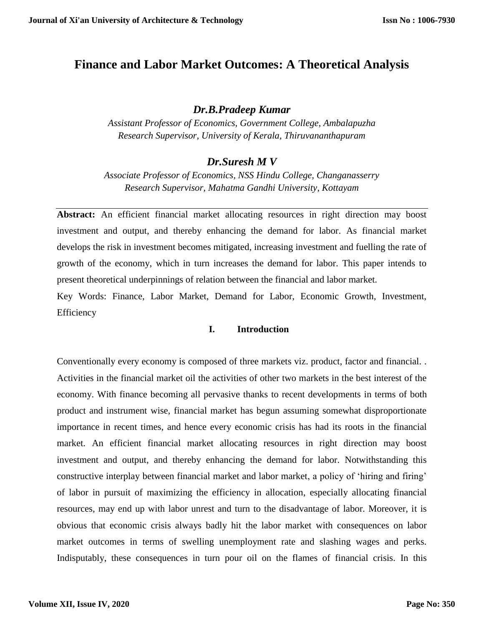# **Finance and Labor Market Outcomes: A Theoretical Analysis**

# *Dr.B.Pradeep Kumar*

*Assistant Professor of Economics, Government College, Ambalapuzha Research Supervisor, University of Kerala, Thiruvananthapuram*

# *Dr.Suresh M V*

*Associate Professor of Economics, NSS Hindu College, Changanasserry Research Supervisor, Mahatma Gandhi University, Kottayam*

Abstract: An efficient financial market allocating resources in right direction may boost investment and output, and thereby enhancing the demand for labor. As financial market develops the risk in investment becomes mitigated, increasing investment and fuelling the rate of growth of the economy, which in turn increases the demand for labor. This paper intends to present theoretical underpinnings of relation between the financial and labor market.

Key Words: Finance, Labor Market, Demand for Labor, Economic Growth, Investment, Efficiency

### **I. Introduction**

Conventionally every economy is composed of three markets viz. product, factor and financial. . Activities in the financial market oil the activities of other two markets in the best interest of the economy. With finance becoming all pervasive thanks to recent developments in terms of both product and instrument wise, financial market has begun assuming somewhat disproportionate importance in recent times, and hence every economic crisis has had its roots in the financial market. An efficient financial market allocating resources in right direction may boost investment and output, and thereby enhancing the demand for labor. Notwithstanding this constructive interplay between financial market and labor market, a policy of 'hiring and firing' of labor in pursuit of maximizing the efficiency in allocation, especially allocating financial resources, may end up with labor unrest and turn to the disadvantage of labor. Moreover, it is obvious that economic crisis always badly hit the labor market with consequences on labor market outcomes in terms of swelling unemployment rate and slashing wages and perks. Indisputably, these consequences in turn pour oil on the flames of financial crisis. In this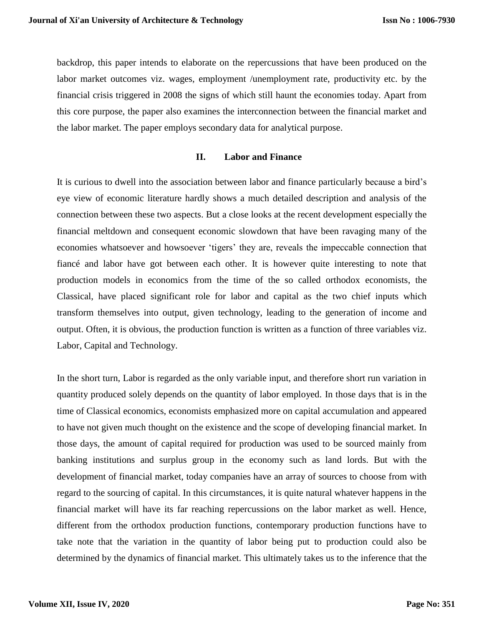backdrop, this paper intends to elaborate on the repercussions that have been produced on the labor market outcomes viz. wages, employment /unemployment rate, productivity etc. by the financial crisis triggered in 2008 the signs of which still haunt the economies today. Apart from this core purpose, the paper also examines the interconnection between the financial market and the labor market. The paper employs secondary data for analytical purpose.

#### **II. Labor and Finance**

It is curious to dwell into the association between labor and finance particularly because a bird's eye view of economic literature hardly shows a much detailed description and analysis of the connection between these two aspects. But a close looks at the recent development especially the financial meltdown and consequent economic slowdown that have been ravaging many of the economies whatsoever and howsoever 'tigers' they are, reveals the impeccable connection that fiancé and labor have got between each other. It is however quite interesting to note that production models in economics from the time of the so called orthodox economists, the Classical, have placed significant role for labor and capital as the two chief inputs which transform themselves into output, given technology, leading to the generation of income and output. Often, it is obvious, the production function is written as a function of three variables viz. Labor, Capital and Technology.

In the short turn, Labor is regarded as the only variable input, and therefore short run variation in quantity produced solely depends on the quantity of labor employed. In those days that is in the time of Classical economics, economists emphasized more on capital accumulation and appeared to have not given much thought on the existence and the scope of developing financial market. In those days, the amount of capital required for production was used to be sourced mainly from banking institutions and surplus group in the economy such as land lords. But with the development of financial market, today companies have an array of sources to choose from with regard to the sourcing of capital. In this circumstances, it is quite natural whatever happens in the financial market will have its far reaching repercussions on the labor market as well. Hence, different from the orthodox production functions, contemporary production functions have to take note that the variation in the quantity of labor being put to production could also be determined by the dynamics of financial market. This ultimately takes us to the inference that the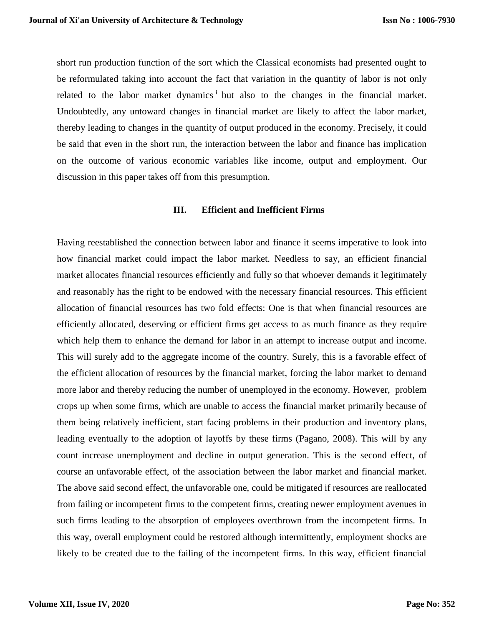short run production function of the sort which the Classical economists had presented ought to be reformulated taking into account the fact that variation in the quantity of labor is not only related to the labor market dynamics<sup>i</sup> but also to the changes in the financial market. Undoubtedly, any untoward changes in financial market are likely to affect the labor market, thereby leading to changes in the quantity of output produced in the economy. Precisely, it could be said that even in the short run, the interaction between the labor and finance has implication on the outcome of various economic variables like income, output and employment. Our discussion in this paper takes off from this presumption.

#### **III. Efficient and Inefficient Firms**

Having reestablished the connection between labor and finance it seems imperative to look into how financial market could impact the labor market. Needless to say, an efficient financial market allocates financial resources efficiently and fully so that whoever demands it legitimately and reasonably has the right to be endowed with the necessary financial resources. This efficient allocation of financial resources has two fold effects: One is that when financial resources are efficiently allocated, deserving or efficient firms get access to as much finance as they require which help them to enhance the demand for labor in an attempt to increase output and income. This will surely add to the aggregate income of the country. Surely, this is a favorable effect of the efficient allocation of resources by the financial market, forcing the labor market to demand more labor and thereby reducing the number of unemployed in the economy. However, problem crops up when some firms, which are unable to access the financial market primarily because of them being relatively inefficient, start facing problems in their production and inventory plans, leading eventually to the adoption of layoffs by these firms (Pagano, 2008). This will by any count increase unemployment and decline in output generation. This is the second effect, of course an unfavorable effect, of the association between the labor market and financial market. The above said second effect, the unfavorable one, could be mitigated if resources are reallocated from failing or incompetent firms to the competent firms, creating newer employment avenues in such firms leading to the absorption of employees overthrown from the incompetent firms. In this way, overall employment could be restored although intermittently, employment shocks are likely to be created due to the failing of the incompetent firms. In this way, efficient financial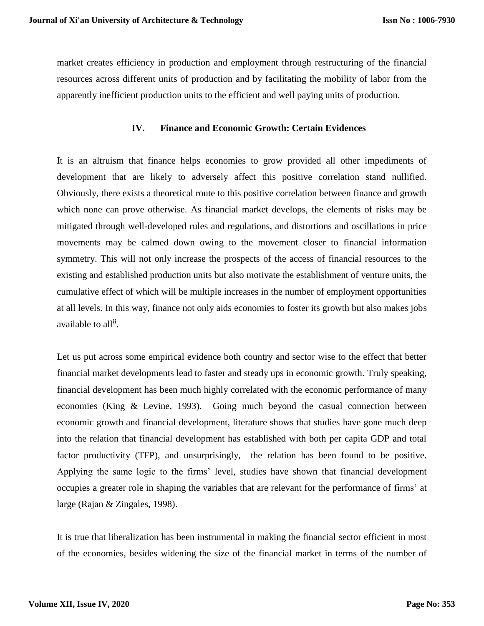market creates efficiency in production and employment through restructuring of the financial resources across different units of production and by facilitating the mobility of labor from the apparently inefficient production units to the efficient and well paying units of production.

### **IV. Finance and Economic Growth: Certain Evidences**

It is an altruism that finance helps economies to grow provided all other impediments of development that are likely to adversely affect this positive correlation stand nullified. Obviously, there exists a theoretical route to this positive correlation between finance and growth which none can prove otherwise. As financial market develops, the elements of risks may be mitigated through well-developed rules and regulations, and distortions and oscillations in price movements may be calmed down owing to the movement closer to financial information symmetry. This will not only increase the prospects of the access of financial resources to the existing and established production units but also motivate the establishment of venture units, the cumulative effect of which will be multiple increases in the number of employment opportunities at all levels. In this way, finance not only aids economies to foster its growth but also makes jobs available to all<sup>ii</sup>.

Let us put across some empirical evidence both country and sector wise to the effect that better financial market developments lead to faster and steady ups in economic growth. Truly speaking, financial development has been much highly correlated with the economic performance of many economies (King & Levine, 1993). Going much beyond the casual connection between economic growth and financial development, literature shows that studies have gone much deep into the relation that financial development has established with both per capita GDP and total factor productivity (TFP), and unsurprisingly, the relation has been found to be positive. Applying the same logic to the firms' level, studies have shown that financial development occupies a greater role in shaping the variables that are relevant for the performance of firms' at large (Rajan & Zingales, 1998).

It is true that liberalization has been instrumental in making the financial sector efficient in most of the economies, besides widening the size of the financial market in terms of the number of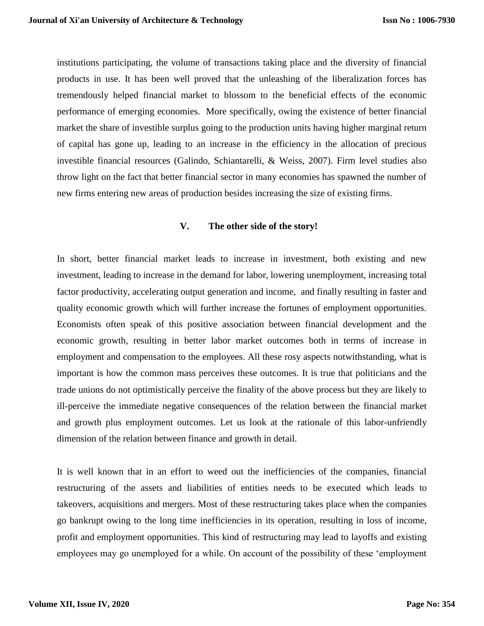institutions participating, the volume of transactions taking place and the diversity of financial products in use. It has been well proved that the unleashing of the liberalization forces has tremendously helped financial market to blossom to the beneficial effects of the economic performance of emerging economies. More specifically, owing the existence of better financial market the share of investible surplus going to the production units having higher marginal return of capital has gone up, leading to an increase in the efficiency in the allocation of precious investible financial resources (Galindo, Schiantarelli, & Weiss, 2007). Firm level studies also throw light on the fact that better financial sector in many economies has spawned the number of new firms entering new areas of production besides increasing the size of existing firms.

### **V. The other side of the story!**

In short, better financial market leads to increase in investment, both existing and new investment, leading to increase in the demand for labor, lowering unemployment, increasing total factor productivity, accelerating output generation and income, and finally resulting in faster and quality economic growth which will further increase the fortunes of employment opportunities. Economists often speak of this positive association between financial development and the economic growth, resulting in better labor market outcomes both in terms of increase in employment and compensation to the employees. All these rosy aspects notwithstanding, what is important is how the common mass perceives these outcomes. It is true that politicians and the trade unions do not optimistically perceive the finality of the above process but they are likely to ill-perceive the immediate negative consequences of the relation between the financial market and growth plus employment outcomes. Let us look at the rationale of this labor-unfriendly dimension of the relation between finance and growth in detail.

It is well known that in an effort to weed out the inefficiencies of the companies, financial restructuring of the assets and liabilities of entities needs to be executed which leads to takeovers, acquisitions and mergers. Most of these restructuring takes place when the companies go bankrupt owing to the long time inefficiencies in its operation, resulting in loss of income, profit and employment opportunities. This kind of restructuring may lead to layoffs and existing employees may go unemployed for a while. On account of the possibility of these 'employment